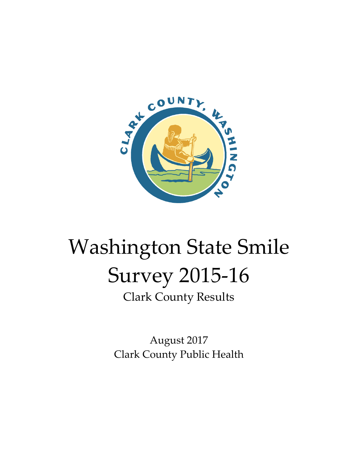

# Washington State Smile Survey 2015-16 Clark County Results

August 2017 Clark County Public Health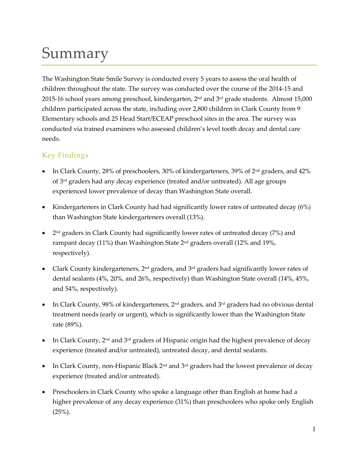## Summary

The Washington State Smile Survey is conducted every 5 years to assess the oral health of children throughout the state. The survey was conducted over the course of the 2014-15 and 2015-16 school years among preschool, kindergarten, 2<sup>nd</sup> and 3<sup>rd</sup> grade students. Almost 15,000 children participated across the state, including over 2,800 children in Clark County from 9 Elementary schools and 25 Head Start/ECEAP preschool sites in the area. The survey was conducted via trained examiners who assessed children's level tooth decay and dental care needs.

#### Key Findings

- In Clark County, 28% of preschoolers, 30% of kindergarteners, 39% of  $2<sup>nd</sup>$  graders, and 42% of  $3<sup>rd</sup>$  graders had any decay experience (treated and/or untreated). All age groups experienced lower prevalence of decay than Washington State overall.
- Kindergarteners in Clark County had had significantly lower rates of untreated decay (6%) than Washington State kindergarteners overall (13%).
- 2<sup>nd</sup> graders in Clark County had significantly lower rates of untreated decay (7%) and rampant decay (11%) than Washington State  $2<sup>nd</sup>$  graders overall (12% and 19%, respectively).
- Clark County kindergarteners, 2<sup>nd</sup> graders, and 3<sup>rd</sup> graders had significantly lower rates of dental sealants (4%, 20%, and 26%, respectively) than Washington State overall (14%, 45%, and 54%, respectively).
- In Clark County, 98% of kindergarteners,  $2<sup>nd</sup>$  graders, and  $3<sup>rd</sup>$  graders had no obvious dental treatment needs (early or urgent), which is significantly lower than the Washington State rate (89%).
- In Clark County, 2nd and 3rd graders of Hispanic origin had the highest prevalence of decay experience (treated and/or untreated), untreated decay, and dental sealants.
- In Clark County, non-Hispanic Black 2<sup>nd</sup> and 3<sup>rd</sup> graders had the lowest prevalence of decay experience (treated and/or untreated).
- Preschoolers in Clark County who spoke a language other than English at home had a higher prevalence of any decay experience (31%) than preschoolers who spoke only English  $(25%)$ .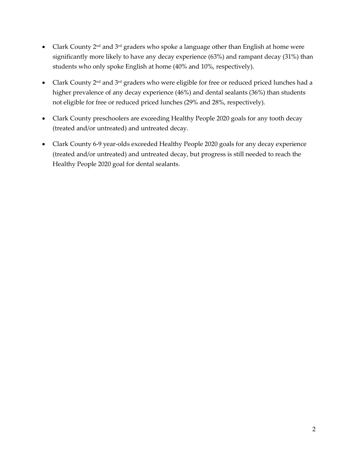- Clark County  $2^{nd}$  and  $3^{rd}$  graders who spoke a language other than English at home were significantly more likely to have any decay experience (63%) and rampant decay (31%) than students who only spoke English at home (40% and 10%, respectively).
- Clark County  $2^{nd}$  and  $3^{rd}$  graders who were eligible for free or reduced priced lunches had a higher prevalence of any decay experience (46%) and dental sealants (36%) than students not eligible for free or reduced priced lunches (29% and 28%, respectively).
- Clark County preschoolers are exceeding Healthy People 2020 goals for any tooth decay (treated and/or untreated) and untreated decay.
- Clark County 6-9 year-olds exceeded Healthy People 2020 goals for any decay experience (treated and/or untreated) and untreated decay, but progress is still needed to reach the Healthy People 2020 goal for dental sealants.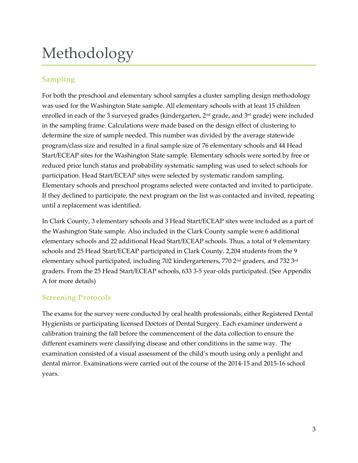## Methodology

#### Sampling

For both the preschool and elementary school samples a cluster sampling design methodology was used for the Washington State sample. All elementary schools with at least 15 children enrolled in each of the 3 surveyed grades (kindergarten, 2<sup>nd</sup> grade, and 3<sup>rd</sup> grade) were included in the sampling frame. Calculations were made based on the design effect of clustering to determine the size of sample needed. This number was divided by the average statewide program/class size and resulted in a final sample size of 76 elementary schools and 44 Head Start/ECEAP sites for the Washington State sample. Elementary schools were sorted by free or reduced price lunch status and probability systematic sampling was used to select schools for participation. Head Start/ECEAP sites were selected by systematic random sampling. Elementary schools and preschool programs selected were contacted and invited to participate. If they declined to participate, the next program on the list was contacted and invited, repeating until a replacement was identified.

In Clark County, 3 elementary schools and 3 Head Start/ECEAP sites were included as a part of the Washington State sample. Also included in the Clark County sample were 6 additional elementary schools and 22 additional Head Start/ECEAP schools. Thus, a total of 9 elementary schools and 25 Head Start/ECEAP participated in Clark County. 2,204 students from the 9 elementary school participated, including 702 kindergarteners, 770  $2<sup>nd</sup>$  graders, and 732  $3<sup>rd</sup>$ graders. From the 25 Head Start/ECEAP schools, 633 3-5 year-olds participated. (See Appendix A for more details)

#### Screening Protocols

The exams for the survey were conducted by oral health professionals; either Registered Dental Hygienists or participating licensed Doctors of Dental Surgery. Each examiner underwent a calibration training the fall before the commencement of the data collection to ensure the different examiners were classifying disease and other conditions in the same way. The examination consisted of a visual assessment of the child's mouth using only a penlight and dental mirror. Examinations were carried out of the course of the 2014-15 and 2015-16 school years.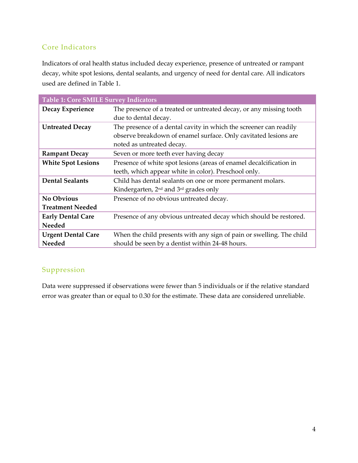#### Core Indicators

Indicators of oral health status included decay experience, presence of untreated or rampant decay, white spot lesions, dental sealants, and urgency of need for dental care. All indicators used are defined in Table 1.

| <b>Table 1: Core SMILE Survey Indicators</b> |                                                                      |  |  |
|----------------------------------------------|----------------------------------------------------------------------|--|--|
| Decay Experience                             | The presence of a treated or untreated decay, or any missing tooth   |  |  |
|                                              | due to dental decay.                                                 |  |  |
| <b>Untreated Decay</b>                       | The presence of a dental cavity in which the screener can readily    |  |  |
|                                              | observe breakdown of enamel surface. Only cavitated lesions are      |  |  |
|                                              | noted as untreated decay.                                            |  |  |
| <b>Rampant Decay</b>                         | Seven or more teeth ever having decay                                |  |  |
| <b>White Spot Lesions</b>                    | Presence of white spot lesions (areas of enamel decalcification in   |  |  |
|                                              | teeth, which appear white in color). Preschool only.                 |  |  |
| <b>Dental Sealants</b>                       | Child has dental sealants on one or more permanent molars.           |  |  |
|                                              | Kindergarten, 2 <sup>nd</sup> and 3 <sup>rd</sup> grades only        |  |  |
| No Obvious                                   | Presence of no obvious untreated decay.                              |  |  |
| <b>Treatment Needed</b>                      |                                                                      |  |  |
| <b>Early Dental Care</b>                     | Presence of any obvious untreated decay which should be restored.    |  |  |
| <b>Needed</b>                                |                                                                      |  |  |
| <b>Urgent Dental Care</b>                    | When the child presents with any sign of pain or swelling. The child |  |  |
| <b>Needed</b>                                | should be seen by a dentist within 24-48 hours.                      |  |  |

#### Suppression

Data were suppressed if observations were fewer than 5 individuals or if the relative standard error was greater than or equal to 0.30 for the estimate. These data are considered unreliable.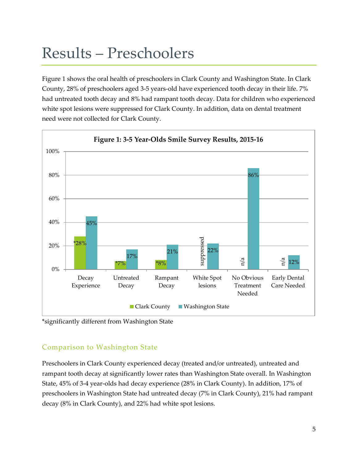### Results – Preschoolers

Figure 1 shows the oral health of preschoolers in Clark County and Washington State. In Clark County, 28% of preschoolers aged 3-5 years-old have experienced tooth decay in their life. 7% had untreated tooth decay and 8% had rampant tooth decay. Data for children who experienced white spot lesions were suppressed for Clark County. In addition, data on dental treatment need were not collected for Clark County.



\*significantly different from Washington State

#### Comparison to Washington State

Preschoolers in Clark County experienced decay (treated and/or untreated), untreated and rampant tooth decay at significantly lower rates than Washington State overall. In Washington State, 45% of 3-4 year-olds had decay experience (28% in Clark County). In addition, 17% of preschoolers in Washington State had untreated decay (7% in Clark County), 21% had rampant decay (8% in Clark County), and 22% had white spot lesions.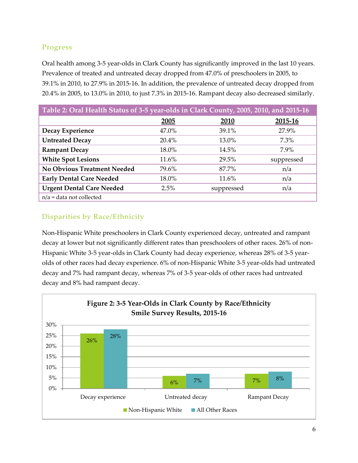#### Progress

Oral health among 3-5 year-olds in Clark County has significantly improved in the last 10 years. Prevalence of treated and untreated decay dropped from 47.0% of preschoolers in 2005, to 39.1% in 2010, to 27.9% in 2015-16. In addition, the prevalence of untreated decay dropped from 20.4% in 2005, to 13.0% in 2010, to just 7.3% in 2015-16. Rampant decay also decreased similarly.

| Table 2: Oral Health Status of 3-5 year-olds in Clark County, 2005, 2010, and 2015-16 |       |            |            |  |  |  |
|---------------------------------------------------------------------------------------|-------|------------|------------|--|--|--|
|                                                                                       | 2005  | 2010       | 2015-16    |  |  |  |
| Decay Experience                                                                      | 47.0% | 39.1%      | 27.9%      |  |  |  |
| <b>Untreated Decay</b>                                                                | 20.4% | 13.0%      | 7.3%       |  |  |  |
| <b>Rampant Decay</b>                                                                  | 18.0% | 14.5%      | 7.9%       |  |  |  |
| <b>White Spot Lesions</b>                                                             | 11.6% | 29.5%      | suppressed |  |  |  |
| <b>No Obvious Treatment Needed</b>                                                    | 79.6% | 87.7%      | n/a        |  |  |  |
| <b>Early Dental Care Needed</b>                                                       | 18.0% | 11.6%      | n/a        |  |  |  |
| <b>Urgent Dental Care Needed</b>                                                      | 2.5%  | suppressed | n/a        |  |  |  |
| $n/a$ = data not collected                                                            |       |            |            |  |  |  |

### Disparities by Race/Ethnicity

Non-Hispanic White preschoolers in Clark County experienced decay, untreated and rampant decay at lower but not significantly different rates than preschoolers of other races. 26% of non-Hispanic White 3-5 year-olds in Clark County had decay experience, whereas 28% of 3-5 yearolds of other races had decay experience. 6% of non-Hispanic White 3-5 year-olds had untreated decay and 7% had rampant decay, whereas 7% of 3-5 year-olds of other races had untreated decay and 8% had rampant decay.

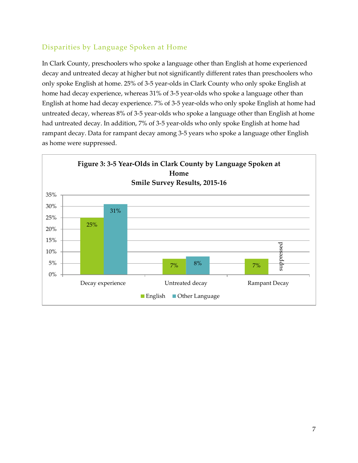#### Disparities by Language Spoken at Home

In Clark County, preschoolers who spoke a language other than English at home experienced decay and untreated decay at higher but not significantly different rates than preschoolers who only spoke English at home. 25% of 3-5 year-olds in Clark County who only spoke English at home had decay experience, whereas 31% of 3-5 year-olds who spoke a language other than English at home had decay experience. 7% of 3-5 year-olds who only spoke English at home had untreated decay, whereas 8% of 3-5 year-olds who spoke a language other than English at home had untreated decay. In addition, 7% of 3-5 year-olds who only spoke English at home had rampant decay. Data for rampant decay among 3-5 years who spoke a language other English as home were suppressed.

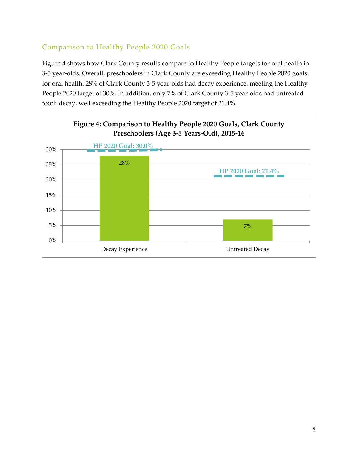#### Comparison to Healthy People 2020 Goals

Figure 4 shows how Clark County results compare to Healthy People targets for oral health in 3-5 year-olds. Overall, preschoolers in Clark County are exceeding Healthy People 2020 goals for oral health. 28% of Clark County 3-5 year-olds had decay experience, meeting the Healthy People 2020 target of 30%. In addition, only 7% of Clark County 3-5 year-olds had untreated tooth decay, well exceeding the Healthy People 2020 target of 21.4%.

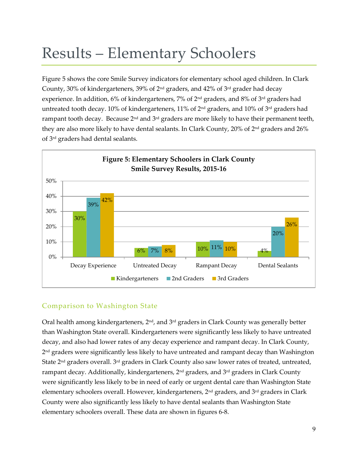### Results – Elementary Schoolers

Figure 5 shows the core Smile Survey indicators for elementary school aged children. In Clark County, 30% of kindergarteners, 39% of 2nd graders, and 42% of 3rd grader had decay experience. In addition, 6% of kindergarteners, 7% of  $2<sup>nd</sup>$  graders, and 8% of  $3<sup>rd</sup>$  graders had untreated tooth decay. 10% of kindergarteners, 11% of 2<sup>nd</sup> graders, and 10% of 3<sup>rd</sup> graders had rampant tooth decay. Because  $2<sup>nd</sup>$  and  $3<sup>rd</sup>$  graders are more likely to have their permanent teeth, they are also more likely to have dental sealants. In Clark County, 20% of 2nd graders and 26% of 3rd graders had dental sealants.



#### Comparison to Washington State

Oral health among kindergarteners,  $2<sup>nd</sup>$ , and  $3<sup>rd</sup>$  graders in Clark County was generally better than Washington State overall. Kindergarteners were significantly less likely to have untreated decay, and also had lower rates of any decay experience and rampant decay. In Clark County, 2 nd graders were significantly less likely to have untreated and rampant decay than Washington State  $2<sup>nd</sup>$  graders overall.  $3<sup>rd</sup>$  graders in Clark County also saw lower rates of treated, untreated, rampant decay. Additionally, kindergarteners,  $2<sup>nd</sup>$  graders, and  $3<sup>rd</sup>$  graders in Clark County were significantly less likely to be in need of early or urgent dental care than Washington State elementary schoolers overall. However, kindergarteners, 2<sup>nd</sup> graders, and 3<sup>rd</sup> graders in Clark County were also significantly less likely to have dental sealants than Washington State elementary schoolers overall. These data are shown in figures 6-8.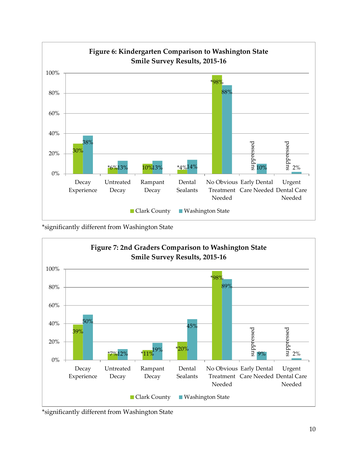

\*significantly different from Washington State



\*significantly different from Washington State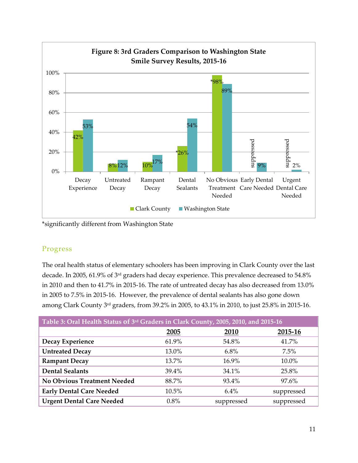

\*significantly different from Washington State

#### Progress

The oral health status of elementary schoolers has been improving in Clark County over the last decade. In 2005, 61.9% of 3rd graders had decay experience. This prevalence decreased to 54.8% in 2010 and then to 41.7% in 2015-16. The rate of untreated decay has also decreased from 13.0% in 2005 to 7.5% in 2015-16. However, the prevalence of dental sealants has also gone down among Clark County 3rd graders, from 39.2% in 2005, to 43.1% in 2010, to just 25.8% in 2015-16.

| Table 3: Oral Health Status of 3rd Graders in Clark County, 2005, 2010, and 2015-16 |       |            |            |  |  |  |
|-------------------------------------------------------------------------------------|-------|------------|------------|--|--|--|
|                                                                                     | 2005  | 2010       | 2015-16    |  |  |  |
| Decay Experience                                                                    | 61.9% | 54.8%      | 41.7%      |  |  |  |
| <b>Untreated Decay</b>                                                              | 13.0% | $6.8\%$    | $7.5\%$    |  |  |  |
| <b>Rampant Decay</b>                                                                | 13.7% | 16.9%      | 10.0%      |  |  |  |
| <b>Dental Sealants</b>                                                              | 39.4% | 34.1%      | 25.8%      |  |  |  |
| <b>No Obvious Treatment Needed</b>                                                  | 88.7% | 93.4%      | 97.6%      |  |  |  |
| <b>Early Dental Care Needed</b>                                                     | 10.5% | $6.4\%$    | suppressed |  |  |  |
| <b>Urgent Dental Care Needed</b>                                                    | 0.8%  | suppressed | suppressed |  |  |  |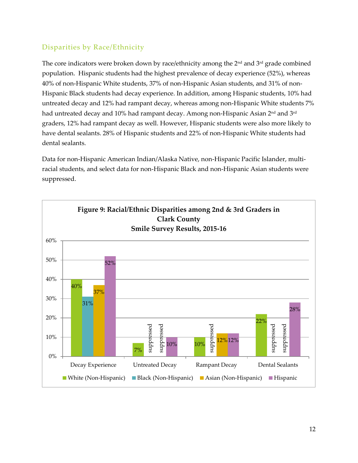#### Disparities by Race/Ethnicity

The core indicators were broken down by race/ethnicity among the  $2<sup>nd</sup>$  and  $3<sup>rd</sup>$  grade combined population. Hispanic students had the highest prevalence of decay experience (52%), whereas 40% of non-Hispanic White students, 37% of non-Hispanic Asian students, and 31% of non-Hispanic Black students had decay experience. In addition, among Hispanic students, 10% had untreated decay and 12% had rampant decay, whereas among non-Hispanic White students 7% had untreated decay and 10% had rampant decay. Among non-Hispanic Asian 2<sup>nd</sup> and 3<sup>rd</sup> graders, 12% had rampant decay as well. However, Hispanic students were also more likely to have dental sealants. 28% of Hispanic students and 22% of non-Hispanic White students had dental sealants.

Data for non-Hispanic American Indian/Alaska Native, non-Hispanic Pacific Islander, multiracial students, and select data for non-Hispanic Black and non-Hispanic Asian students were suppressed.

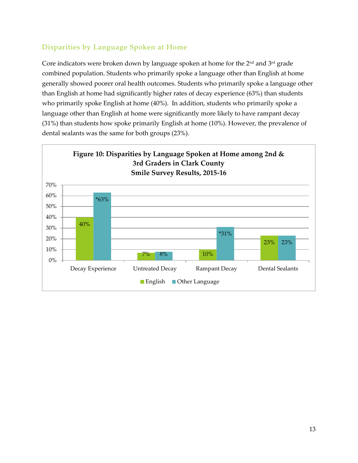#### Disparities by Language Spoken at Home

Core indicators were broken down by language spoken at home for the  $2<sup>nd</sup>$  and  $3<sup>rd</sup>$  grade combined population. Students who primarily spoke a language other than English at home generally showed poorer oral health outcomes. Students who primarily spoke a language other than English at home had significantly higher rates of decay experience (63%) than students who primarily spoke English at home (40%). In addition, students who primarily spoke a language other than English at home were significantly more likely to have rampant decay (31%) than students how spoke primarily English at home (10%). However, the prevalence of dental sealants was the same for both groups (23%).

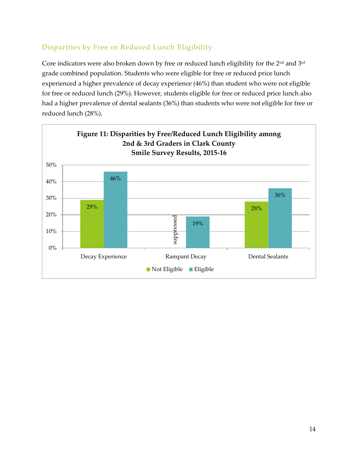#### Disparities by Free or Reduced Lunch Eligibility

Core indicators were also broken down by free or reduced lunch eligibility for the 2<sup>nd</sup> and 3<sup>rd</sup> grade combined population. Students who were eligible for free or reduced price lunch experienced a higher prevalence of decay experience (46%) than student who were not eligible for free or reduced lunch (29%). However, students eligible for free or reduced price lunch also had a higher prevalence of dental sealants (36%) than students who were not eligible for free or reduced lunch (28%).

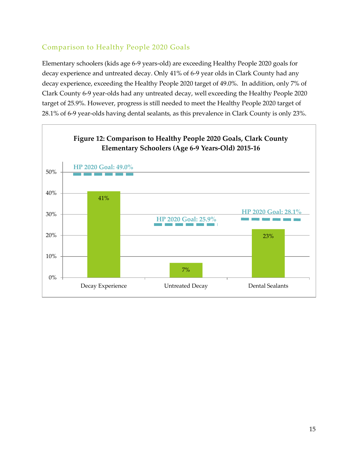#### Comparison to Healthy People 2020 Goals

Elementary schoolers (kids age 6-9 years-old) are exceeding Healthy People 2020 goals for decay experience and untreated decay. Only 41% of 6-9 year olds in Clark County had any decay experience, exceeding the Healthy People 2020 target of 49.0%. In addition, only 7% of Clark County 6-9 year-olds had any untreated decay, well exceeding the Healthy People 2020 target of 25.9%. However, progress is still needed to meet the Healthy People 2020 target of 28.1% of 6-9 year-olds having dental sealants, as this prevalence in Clark County is only 23%.

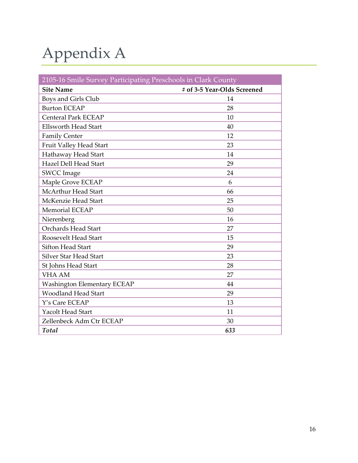# Appendix A

| 2105-16 Smile Survey Participating Preschools in Clark County |                             |
|---------------------------------------------------------------|-----------------------------|
| <b>Site Name</b>                                              | # of 3-5 Year-Olds Screened |
| Boys and Girls Club                                           | 14                          |
| <b>Burton ECEAP</b>                                           | 28                          |
| <b>Centeral Park ECEAP</b>                                    | 10                          |
| <b>Ellsworth Head Start</b>                                   | 40                          |
| <b>Family Center</b>                                          | 12                          |
| Fruit Valley Head Start                                       | 23                          |
| Hathaway Head Start                                           | 14                          |
| <b>Hazel Dell Head Start</b>                                  | 29                          |
| <b>SWCC</b> Image                                             | 24                          |
| Maple Grove ECEAP                                             | 6                           |
| <b>McArthur Head Start</b>                                    | 66                          |
| McKenzie Head Start                                           | 25                          |
| <b>Memorial ECEAP</b>                                         | 50                          |
| Nierenberg                                                    | 16                          |
| <b>Orchards Head Start</b>                                    | 27                          |
| Roosevelt Head Start                                          | 15                          |
| <b>Sifton Head Start</b>                                      | 29                          |
| <b>Silver Star Head Start</b>                                 | 23                          |
| St Johns Head Start                                           | 28                          |
| <b>VHA AM</b>                                                 | 27                          |
| <b>Washington Elementary ECEAP</b>                            | 44                          |
| <b>Woodland Head Start</b>                                    | 29                          |
| Y's Care ECEAP                                                | 13                          |
| <b>Yacolt Head Start</b>                                      | 11                          |
| Zellenbeck Adm Ctr ECEAP                                      | 30                          |
| Total                                                         | 633                         |